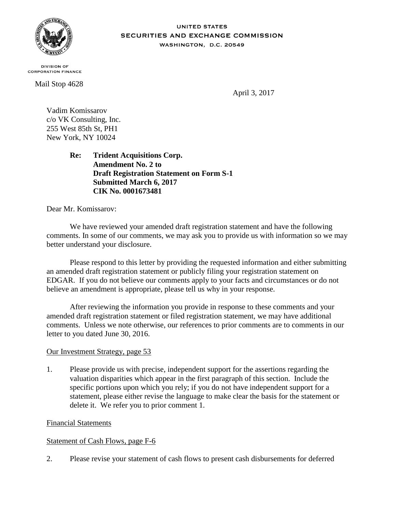

### **UNITED STATES** SECURITIES AND EXCHANGE COMMISSION WASHINGTON, D.C. 20549

**DIVISION OF CORPORATION FINANCE** 

Mail Stop 4628

April 3, 2017

Vadim Komissarov c/o VK Consulting, Inc. 255 West 85th St, PH1 New York, NY 10024

> **Re: Trident Acquisitions Corp. Amendment No. 2 to Draft Registration Statement on Form S-1 Submitted March 6, 2017 CIK No. 0001673481**

Dear Mr. Komissarov:

We have reviewed your amended draft registration statement and have the following comments. In some of our comments, we may ask you to provide us with information so we may better understand your disclosure.

Please respond to this letter by providing the requested information and either submitting an amended draft registration statement or publicly filing your registration statement on EDGAR. If you do not believe our comments apply to your facts and circumstances or do not believe an amendment is appropriate, please tell us why in your response.

After reviewing the information you provide in response to these comments and your amended draft registration statement or filed registration statement, we may have additional comments. Unless we note otherwise, our references to prior comments are to comments in our letter to you dated June 30, 2016.

# Our Investment Strategy, page 53

1. Please provide us with precise, independent support for the assertions regarding the valuation disparities which appear in the first paragraph of this section. Include the specific portions upon which you rely; if you do not have independent support for a statement, please either revise the language to make clear the basis for the statement or delete it. We refer you to prior comment 1.

# Financial Statements

# Statement of Cash Flows, page F-6

2. Please revise your statement of cash flows to present cash disbursements for deferred